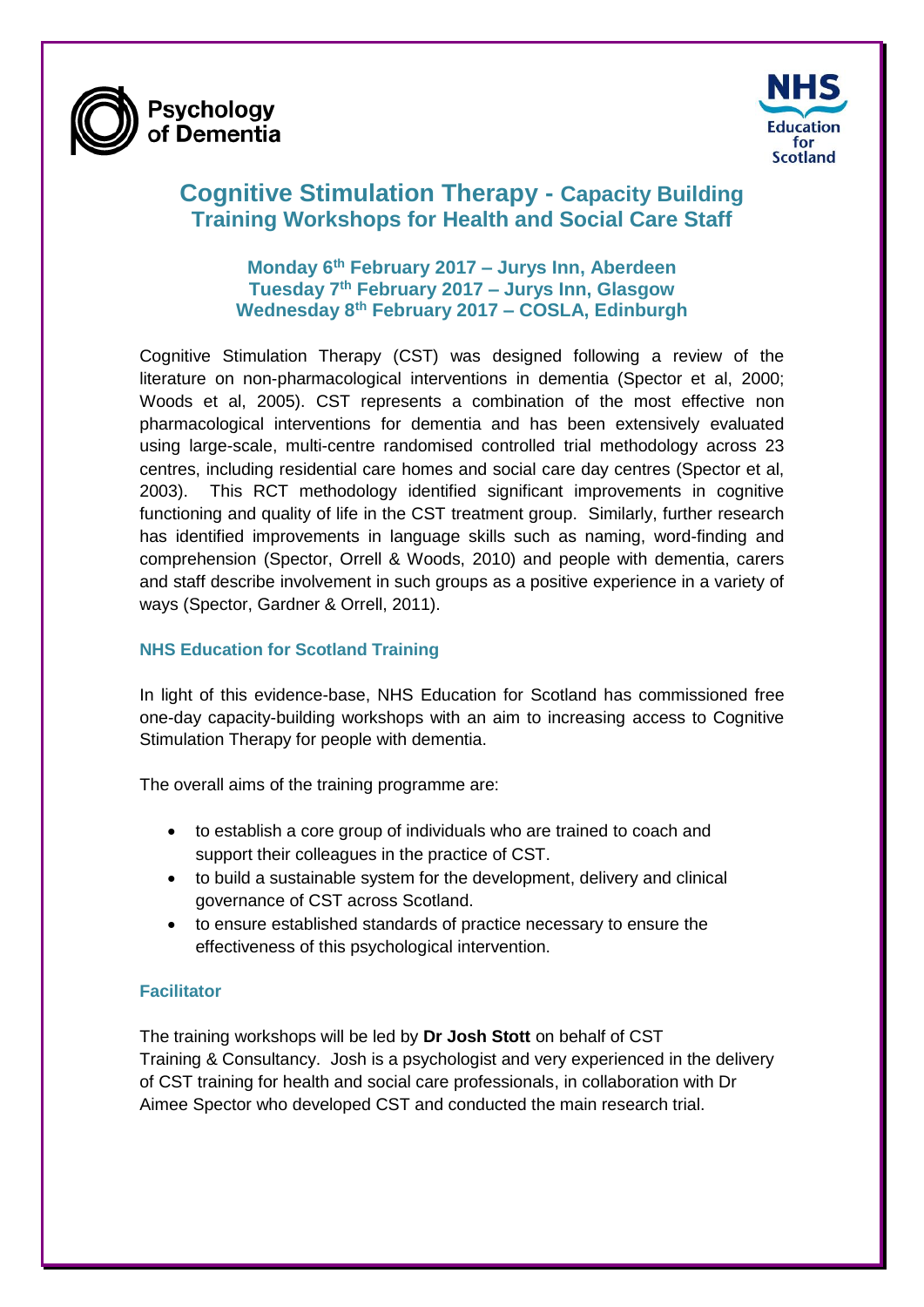



# **Cognitive Stimulation Therapy - Capacity Building Training Workshops for Health and Social Care Staff**

# **Monday 6th February 2017 – Jurys Inn, Aberdeen Tuesday 7th February 2017 – Jurys Inn, Glasgow Wednesday 8th February 2017 – COSLA, Edinburgh**

Cognitive Stimulation Therapy (CST) was designed following a review of the literature on non-pharmacological interventions in dementia (Spector et al, 2000; Woods et al, 2005). CST represents a combination of the most effective non pharmacological interventions for dementia and has been extensively evaluated using large-scale, multi-centre randomised controlled trial methodology across 23 centres, including residential care homes and social care day centres (Spector et al, 2003). This RCT methodology identified significant improvements in cognitive functioning and quality of life in the CST treatment group. Similarly, further research has identified improvements in language skills such as naming, word-finding and comprehension (Spector, Orrell & Woods, 2010) and people with dementia, carers and staff describe involvement in such groups as a positive experience in a variety of ways (Spector, Gardner & Orrell, 2011).

# **NHS Education for Scotland Training**

In light of this evidence-base, NHS Education for Scotland has commissioned free one-day capacity-building workshops with an aim to increasing access to Cognitive Stimulation Therapy for people with dementia.

The overall aims of the training programme are:

- to establish a core group of individuals who are trained to coach and support their colleagues in the practice of CST.
- to build a sustainable system for the development, delivery and clinical governance of CST across Scotland.
- to ensure established standards of practice necessary to ensure the effectiveness of this psychological intervention.

## **Facilitator**

The training workshops will be led by **Dr Josh Stott** on behalf of CST Training & Consultancy. Josh is a psychologist and very experienced in the delivery of CST training for health and social care professionals, in collaboration with Dr Aimee Spector who developed CST and conducted the main research trial.